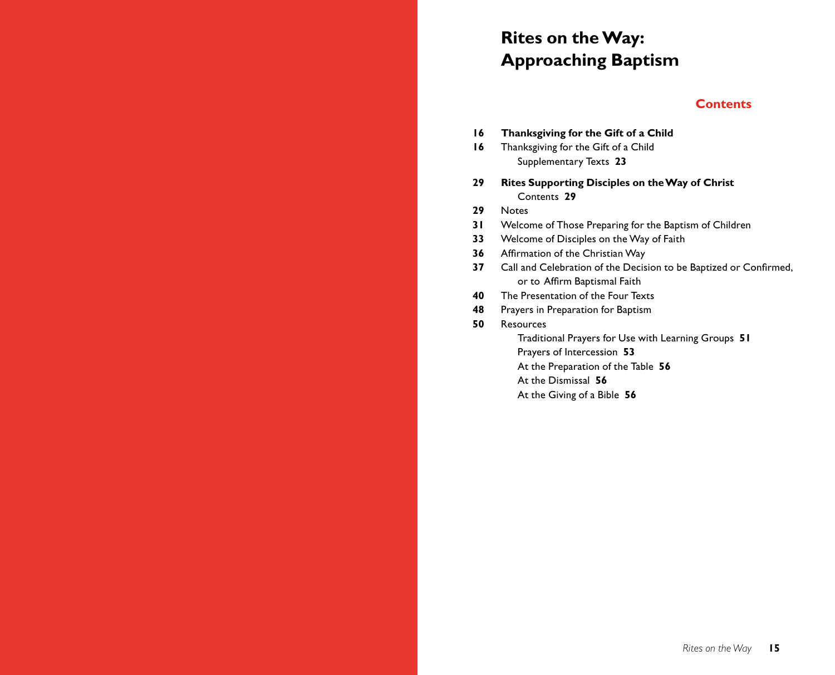# **Rites on the Way: Approaching Baptism**

## **Contents**

- **16 Thanksgiving for the Gift of a Child**
- **16** Thanksgiving for the Gift of a Child Supplementary Texts **23**
- **29 Rites Supporting Disciples on the Way of Christ** Contents **29**
- **29** Notes
- **31** Welcome of Those Preparing for the Baptism of Children
- **33** Welcome of Disciples on the Way of Faith
- **36** Affirmation of the Christian Way
- **37** Call and Celebration of the Decision to be Baptized or Confirmed, or to Affirm Baptismal Faith
- **40** The Presentation of the Four Texts
- **48** Prayers in Preparation for Baptism
- **50** Resources
	- Traditional Prayers for Use with Learning Groups **51** Prayers of Intercession **53** At the Preparation of the Table **56** At the Dismissal **56** At the Giving of a Bible **56**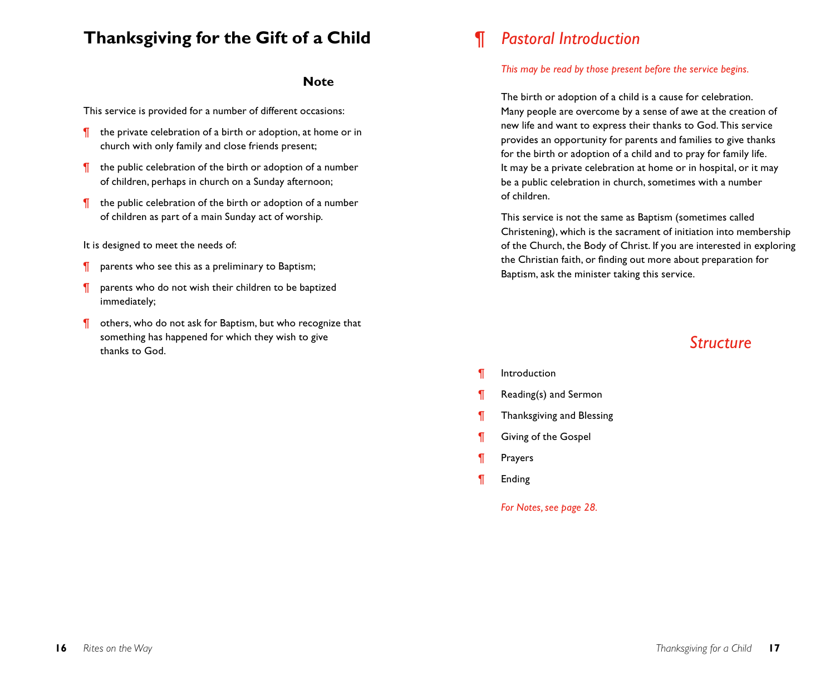# **Thanksgiving for the Gift of a Child**

### **Note**

This service is provided for a number of different occasions:

- ¶ the private celebration of a birth or adoption, at home or in church with only family and close friends present;
- ¶ the public celebration of the birth or adoption of a number of children, perhaps in church on a Sunday afternoon;
- ¶ the public celebration of the birth or adoption of a number of children as part of a main Sunday act of worship.
- It is designed to meet the needs of:
- **T** parents who see this as a preliminary to Baptism;
- **T** parents who do not wish their children to be baptized immediately;
- ¶ others, who do not ask for Baptism, but who recognize that something has happened for which they wish to give thanks to God.

# *¶ Pastoral Introduction*

## *This may be read by those present before the service begins.*

The birth or adoption of a child is a cause for celebration. Many people are overcome by a sense of awe at the creation of new life and want to express their thanks to God. This service provides an opportunity for parents and families to give thanks for the birth or adoption of a child and to pray for family life. It may be a private celebration at home or in hospital, or it may be a public celebration in church, sometimes with a number of children.

This service is not the same as Baptism (sometimes called Christening), which is the sacrament of initiation into membership of the Church, the Body of Christ. If you are interested in exploring the Christian faith, or finding out more about preparation for Baptism, ask the minister taking this service.

# *Structure*

- **Introduction**
- Reading(s) and Sermon
- **Thanksgiving and Blessing**
- Giving of the Gospel
- ¶ Prayers
- **Ending**

#### *For Notes, see page 28.*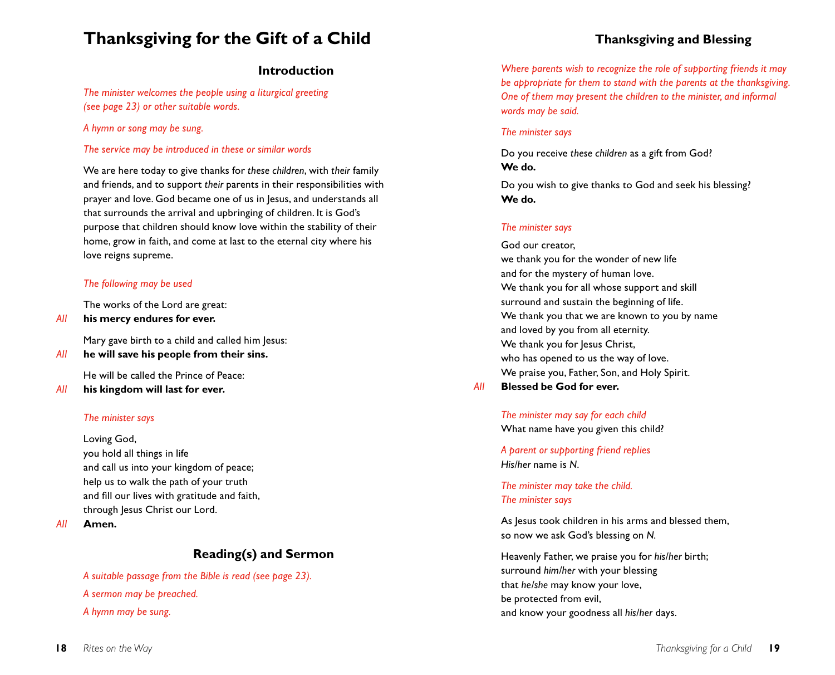# **Thanksgiving for the Gift of a Child**

## **Introduction**

*The minister welcomes the people using a liturgical greeting (see page 23) or other suitable words.*

*A hymn or song may be sung.*

#### *The service may be introduced in these or similar words*

We are here today to give thanks for *these children*, with *their* family and friends, and to support *their* parents in their responsibilities with prayer and love. God became one of us in Jesus, and understands all that surrounds the arrival and upbringing of children. It is God's purpose that children should know love within the stability of their home, grow in faith, and come at last to the eternal city where his love reigns supreme.

### *The following may be used*

The works of the Lord are great:

*All* **his mercy endures for ever.**

Mary gave birth to a child and called him Jesus:

*All* **he will save his people from their sins.**

He will be called the Prince of Peace:

*All* **his kingdom will last for ever.**

### *The minister says*

Loving God, you hold all things in life and call us into your kingdom of peace; help us to walk the path of your truth and fill our lives with gratitude and faith, through Jesus Christ our Lord.

*All* **Amen.**

## **Reading(s) and Sermon**

*A suitable passage from the Bible is read (see page 23). A sermon may be preached. A hymn may be sung.*

*Where parents wish to recognize the role of supporting friends it may be appropriate for them to stand with the parents at the thanksgiving. One of them may present the children to the minister, and informal words may be said.*

#### *The minister says*

Do you receive *these children* as a gift from God? **We do.**

Do you wish to give thanks to God and seek his blessing? **We do.**

#### *The minister says*

#### God our creator,

we thank you for the wonder of new life and for the mystery of human love. We thank you for all whose support and skill surround and sustain the beginning of life. We thank you that we are known to you by name and loved by you from all eternity. We thank you for Jesus Christ, who has opened to us the way of love. We praise you, Father, Son, and Holy Spirit.

*All* **Blessed be God for ever.**

### *The minister may say for each child*

What name have you given this child?

*A parent or supporting friend replies His/her* name is *N*.

*The minister may take the child. The minister says*

As Jesus took children in his arms and blessed them, so now we ask God's blessing on *N.*

Heavenly Father, we praise you for *his/her* birth; surround *him/her* with your blessing that *he/she* may know your love, be protected from evil, and know your goodness all *his/her* days.

# **Thanksgiving and Blessing**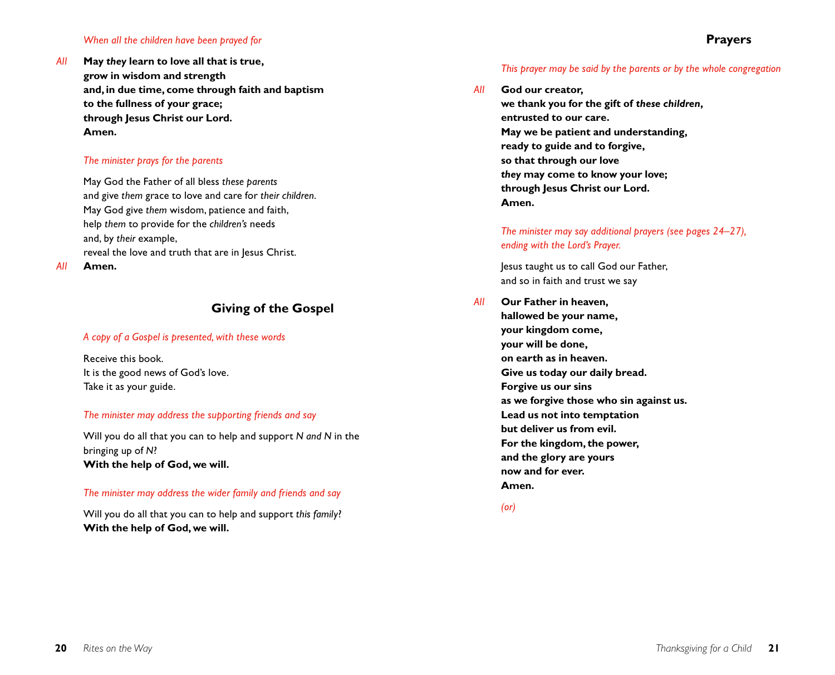#### *When all the children have been prayed for*

*All* **May** *they* **learn to love all that is true, grow in wisdom and strength and, in due time, come through faith and baptism to the fullness of your grace; through Jesus Christ our Lord. Amen.**

#### *The minister prays for the parents*

May God the Father of all bless *these parents* and give *them* grace to love and care for *their children*. May God give *them* wisdom, patience and faith, help *them* to provide for the *children's* needs and, by *their* example, reveal the love and truth that are in Jesus Christ.

*All* **Amen.**

## **Giving of the Gospel**

#### *A copy of a Gospel is presented, with these words*

Receive this book. It is the good news of God's love. Take it as your guide.

#### *The minister may address the supporting friends and say*

Will you do all that you can to help and support *N and N* in the bringing up of *N*? **With the help of God, we will.**

#### *The minister may address the wider family and friends and say*

Will you do all that you can to help and support *this family*? **With the help of God, we will.**

#### *This prayer may be said by the parents or by the whole congregation*

*All* **God our creator, we thank you for the gift of** *these children***, entrusted to our care. May we be patient and understanding, ready to guide and to forgive, so that through our love** *they* **may come to know your love; through Jesus Christ our Lord. Amen.**

> *The minister may say additional prayers (see pages 24–27), ending with the Lord's Prayer.*

Jesus taught us to call God our Father, and so in faith and trust we say

*All* **Our Father in heaven,**

**hallowed be your name, your kingdom come, your will be done, on earth as in heaven. Give us today our daily bread. Forgive us our sins as we forgive those who sin against us. Lead us not into temptation but deliver us from evil. For the kingdom, the power, and the glory are yours now and for ever. Amen.**

*(or)*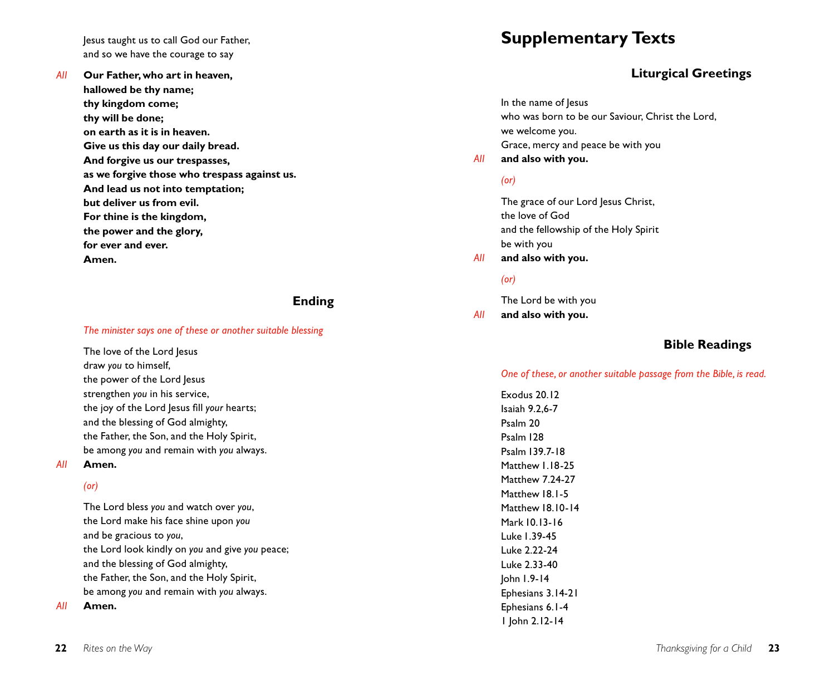Jesus taught us to call God our Father, and so we have the courage to say

*All* **Our Father, who art in heaven, hallowed be thy name; thy kingdom come; thy will be done; on earth as it is in heaven. Give us this day our daily bread. And forgive us our trespasses, as we forgive those who trespass against us. And lead us not into temptation; but deliver us from evil. For thine is the kingdom, the power and the glory, for ever and ever. Amen.**

## **Ending**

#### *The minister says one of these or another suitable blessing*

The love of the Lord Jesus draw *you* to himself, the power of the Lord Jesus strengthen *you* in his service, the joy of the Lord Jesus fill *your* hearts; and the blessing of God almighty, the Father, the Son, and the Holy Spirit, be among *you* and remain with *you* always.

#### *All* **Amen.**

#### *(or)*

The Lord bless *you* and watch over *you*, the Lord make his face shine upon *you* and be gracious to *you*, the Lord look kindly on *you* and give *you* peace; and the blessing of God almighty, the Father, the Son, and the Holy Spirit, be among *you* and remain with *you* always.

*All* **Amen.**

# **Supplementary Texts**

# **Liturgical Greetings**

In the name of Jesus

who was born to be our Saviour, Christ the Lord, we welcome you. Grace, mercy and peace be with you

*All* **and also with you.**

## *(or)*

The grace of our Lord Jesus Christ, the love of God and the fellowship of the Holy Spirit be with you

*All* **and also with you.**

## *(or)*

The Lord be with you *All* **and also with you.**

## **Bible Readings**

### *One of these, or another suitable passage from the Bible, is read.*

Exodus 20.12 Isaiah 9.2,6-7 Psalm 20 Psalm 128 Psalm 139.7-18 Matthew I. 18-25 Matthew 7.24-27 Matthew 18<sub>1-5</sub> Matthew 18.10-14 Mark 10.13-16 Luke 1.39-45 Luke 2.22-24 Luke 2.33-40 John 1.9-14 Ephesians 3.14-21 Ephesians 6.1-4 1 John 2.12-14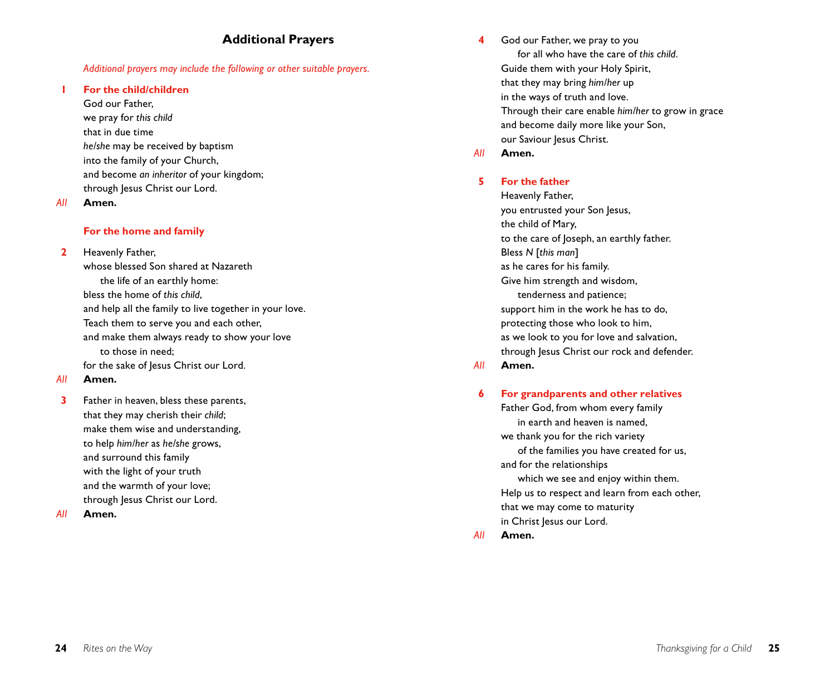## **Additional Prayers**

#### *Additional prayers may include the following or other suitable prayers.*

#### **1 For the child/children**

God our Father, we pray for *this child* that in due time *he/she* may be received by baptism into the family of your Church, and become *an inheritor* of your kingdom; through Jesus Christ our Lord.

#### *All* **Amen.**

#### **For the home and family**

**2** Heavenly Father,

whose blessed Son shared at Nazareth the life of an earthly home: bless the home of *this child*, and help all the family to live together in your love. Teach them to serve you and each other, and make them always ready to show your love to those in need; for the sake of Jesus Christ our Lord.

#### *All* **Amen.**

- **3** Father in heaven, bless these parents, that they may cherish their *child*; make them wise and understanding, to help *him/her* as *he/she* grows, and surround this family with the light of your truth and the warmth of your love; through Jesus Christ our Lord.
- *All* **Amen.**

**4** God our Father, we pray to you for all who have the care of *this child*. Guide them with your Holy Spirit, that they may bring *him/her* up in the ways of truth and love. Through their care enable *him/her* to grow in grace and become daily more like your Son, our Saviour Jesus Christ.

*All* **Amen.**

#### **5 For the father**

Heavenly Father, you entrusted your Son Jesus, the child of Mary, to the care of Joseph, an earthly father. Bless *N* [*this man*] as he cares for his family. Give him strength and wisdom, tenderness and patience; support him in the work he has to do, protecting those who look to him, as we look to you for love and salvation, through Jesus Christ our rock and defender.

- *All* **Amen.**
- **6 For grandparents and other relatives** Father God, from whom every family in earth and heaven is named, we thank you for the rich variety of the families you have created for us, and for the relationships which we see and enjoy within them. Help us to respect and learn from each other, that we may come to maturity in Christ Jesus our Lord.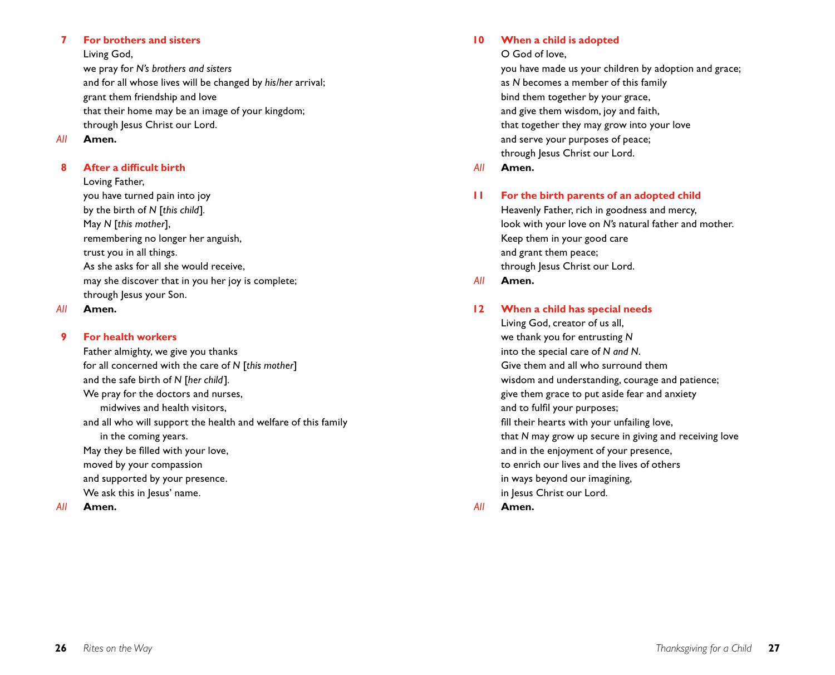### **7 For brothers and sisters**

Living God,

we pray for *N's brothers and sisters* and for all whose lives will be changed by *his/her* arrival; grant them friendship and love that their home may be an image of your kingdom; through Jesus Christ our Lord.

*All* **Amen.**

#### **8 After a difficult birth**

Loving Father,

you have turned pain into joy by the birth of *N* [*this child*]*.* May *N* [*this mother*], remembering no longer her anguish, trust you in all things. As she asks for all she would receive, may she discover that in you her joy is complete; through Jesus your Son.

*All* **Amen.**

### **9 For health workers**

Father almighty, we give you thanks for all concerned with the care of *N* [*this mother*] and the safe birth of *N* [*her child*]*.* We pray for the doctors and nurses, midwives and health visitors, and all who will support the health and welfare of this family in the coming years. May they be filled with your love, moved by your compassion and supported by your presence. We ask this in Jesus' name.

*All* **Amen.**

## **10 When a child is adopted**

O God of love,

you have made us your children by adoption and grace; as *N* becomes a member of this family bind them together by your grace, and give them wisdom, joy and faith, that together they may grow into your love and serve your purposes of peace; through Jesus Christ our Lord.

*All* **Amen.**

## **11 For the birth parents of an adopted child**

Heavenly Father, rich in goodness and mercy, look with your love on *N's* natural father and mother. Keep them in your good care and grant them peace; through Jesus Christ our Lord.

*All* **Amen.**

### **12 When a child has special needs**

Living God, creator of us all, we thank you for entrusting *N* into the special care of *N and N*. Give them and all who surround them wisdom and understanding, courage and patience; give them grace to put aside fear and anxiety and to fulfil your purposes; fill their hearts with your unfailing love, that *N* may grow up secure in giving and receiving love and in the enjoyment of your presence, to enrich our lives and the lives of others in ways beyond our imagining, in Jesus Christ our Lord.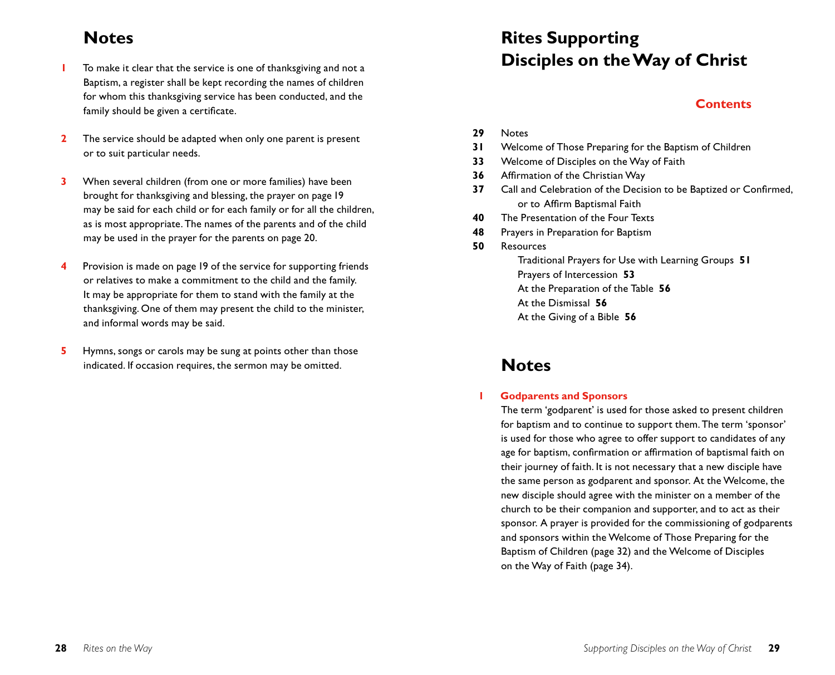# **Notes**

- **1** To make it clear that the service is one of thanksgiving and not a Baptism, a register shall be kept recording the names of children for whom this thanksgiving service has been conducted, and the family should be given a certificate.
- **2** The service should be adapted when only one parent is present or to suit particular needs.
- **3** When several children (from one or more families) have been brought for thanksgiving and blessing, the prayer on page 19 may be said for each child or for each family or for all the children, as is most appropriate. The names of the parents and of the child may be used in the prayer for the parents on page 20.
- **4** Provision is made on page 19 of the service for supporting friends or relatives to make a commitment to the child and the family. It may be appropriate for them to stand with the family at the thanksgiving. One of them may present the child to the minister, and informal words may be said.
- **5** Hymns, songs or carols may be sung at points other than those indicated. If occasion requires, the sermon may be omitted.

# **Rites Supporting Disciples on the Way of Christ**

# **Contents**

- **29** Notes
- **31** Welcome of Those Preparing for the Baptism of Children
- **33** Welcome of Disciples on the Way of Faith
- **36** Affirmation of the Christian Way
- **37** Call and Celebration of the Decision to be Baptized or Confirmed, or to Affirm Baptismal Faith
- **40** The Presentation of the Four Texts
- **48** Prayers in Preparation for Baptism
- **50** Resources

Traditional Prayers for Use with Learning Groups **51** Prayers of Intercession **53** At the Preparation of the Table **56** At the Dismissal **56** At the Giving of a Bible **56**

# **Notes**

## **1 Godparents and Sponsors**

The term 'godparent' is used for those asked to present children for baptism and to continue to support them. The term 'sponsor' is used for those who agree to offer support to candidates of any age for baptism, confirmation or affirmation of baptismal faith on their journey of faith. It is not necessary that a new disciple have the same person as godparent and sponsor. At the Welcome, the new disciple should agree with the minister on a member of the church to be their companion and supporter, and to act as their sponsor. A prayer is provided for the commissioning of godparents and sponsors within the Welcome of Those Preparing for the Baptism of Children (page 32) and the Welcome of Disciples on the Way of Faith (page 34).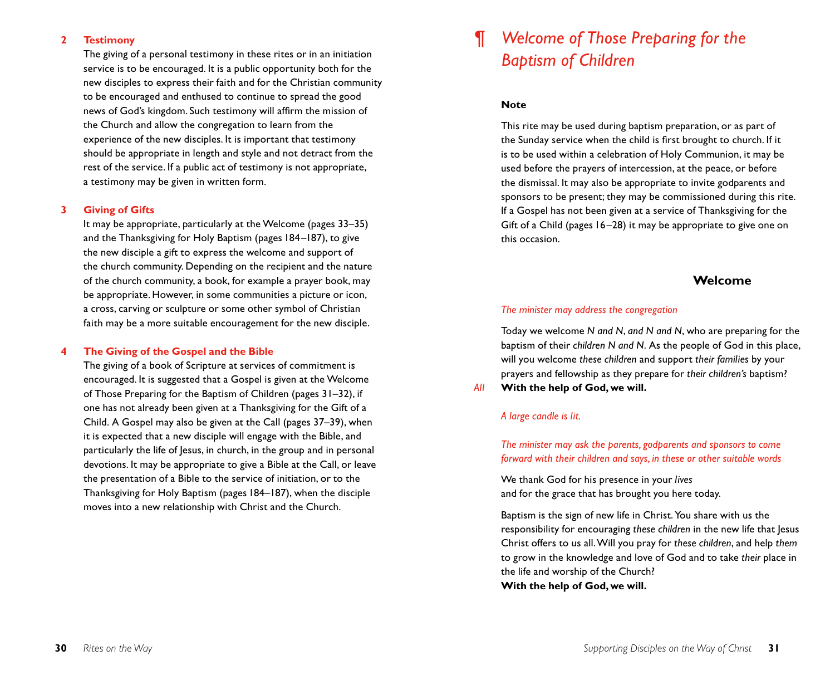#### **2 Testimony**

The giving of a personal testimony in these rites or in an initiation service is to be encouraged. It is a public opportunity both for the new disciples to express their faith and for the Christian community to be encouraged and enthused to continue to spread the good news of God's kingdom. Such testimony will affirm the mission of the Church and allow the congregation to learn from the experience of the new disciples. It is important that testimony should be appropriate in length and style and not detract from the rest of the service. If a public act of testimony is not appropriate, a testimony may be given in written form.

#### **3 Giving of Gifts**

It may be appropriate, particularly at the Welcome (pages 33–35) and the Thanksgiving for Holy Baptism (pages 184–187), to give the new disciple a gift to express the welcome and support of the church community. Depending on the recipient and the nature of the church community, a book, for example a prayer book, may be appropriate. However, in some communities a picture or icon, a cross, carving or sculpture or some other symbol of Christian faith may be a more suitable encouragement for the new disciple.

#### **4 The Giving of the Gospel and the Bible**

The giving of a book of Scripture at services of commitment is encouraged. It is suggested that a Gospel is given at the Welcome of Those Preparing for the Baptism of Children (pages 31–32), if one has not already been given at a Thanksgiving for the Gift of a Child. A Gospel may also be given at the Call (pages 37–39), when it is expected that a new disciple will engage with the Bible, and particularly the life of Jesus, in church, in the group and in personal devotions. It may be appropriate to give a Bible at the Call, or leave the presentation of a Bible to the service of initiation, or to the Thanksgiving for Holy Baptism (pages 184–187), when the disciple moves into a new relationship with Christ and the Church.

# *¶ Welcome of Those Preparing for the Baptism of Children*

#### **Note**

This rite may be used during baptism preparation, or as part of the Sunday service when the child is first brought to church. If it is to be used within a celebration of Holy Communion, it may be used before the prayers of intercession, at the peace, or before the dismissal. It may also be appropriate to invite godparents and sponsors to be present; they may be commissioned during this rite. If a Gospel has not been given at a service of Thanksgiving for the Gift of a Child (pages 16–28) it may be appropriate to give one on this occasion.

#### **Welcome**

#### *The minister may address the congregation*

Today we welcome *N and N*, *and N and N*, who are preparing for the baptism of their *children N and N*. As the people of God in this place, will you welcome *these children* and support *their families* by your prayers and fellowship as they prepare for *their children's* baptism?

*All* **With the help of God, we will.**

#### *A large candle is lit.*

*The minister may ask the parents, godparents and sponsors to come forward with their children and says, in these or other suitable words*

We thank God for his presence in your *lives*  and for the grace that has brought you here today.

Baptism is the sign of new life in Christ. You share with us the responsibility for encouraging *these children* in the new life that Jesus Christ offers to us all.Will you pray for *these children*, and help *them* to grow in the knowledge and love of God and to take *their* place in the life and worship of the Church?

**With the help of God, we will.**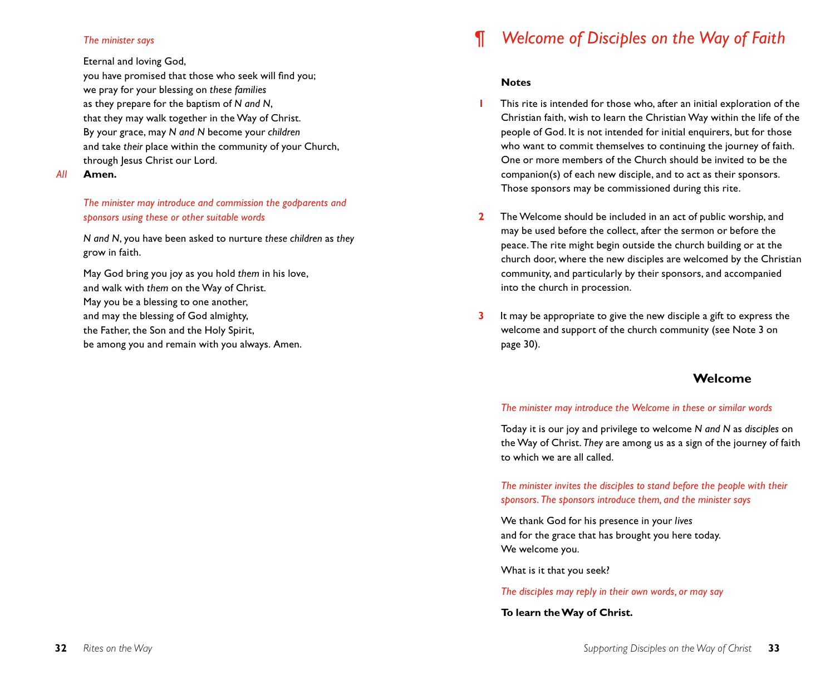#### *The minister says*

Eternal and loving God,

you have promised that those who seek will find you; we pray for your blessing on *these families* as they prepare for the baptism of *N and N*, that they may walk together in the Way of Christ. By your grace, may *N and N* become your *children* and take *their* place within the community of your Church, through Jesus Christ our Lord.

#### *All* **Amen.**

*The minister may introduce and commission the godparents and sponsors using these or other suitable words*

*N and N*, you have been asked to nurture *these children* as *they* grow in faith.

May God bring you joy as you hold *them* in his love, and walk with *them* on the Way of Christ. May you be a blessing to one another, and may the blessing of God almighty, the Father, the Son and the Holy Spirit, be among you and remain with you always. Amen.

# *¶ Welcome of Disciples on the Way of Faith*

#### **Notes**

- **1** This rite is intended for those who, after an initial exploration of the Christian faith, wish to learn the Christian Way within the life of the people of God. It is not intended for initial enquirers, but for those who want to commit themselves to continuing the journey of faith. One or more members of the Church should be invited to be the companion(s) of each new disciple, and to act as their sponsors. Those sponsors may be commissioned during this rite.
- **2** The Welcome should be included in an act of public worship, and may be used before the collect, after the sermon or before the peace. The rite might begin outside the church building or at the church door, where the new disciples are welcomed by the Christian community, and particularly by their sponsors, and accompanied into the church in procession.
- **3** It may be appropriate to give the new disciple a gift to express the welcome and support of the church community (see Note 3 on page 30).

### **Welcome**

#### *The minister may introduce the Welcome in these or similar words*

Today it is our joy and privilege to welcome *N and N* as *disciples* on the Way of Christ. *They* are among us as a sign of the journey of faith to which we are all called.

*The minister invites the disciples to stand before the people with their sponsors. The sponsors introduce them, and the minister says*

We thank God for his presence in your *lives* and for the grace that has brought you here today. We welcome you.

What is it that you seek?

*The disciples may reply in their own words, or may say*

**To learn the Way of Christ.**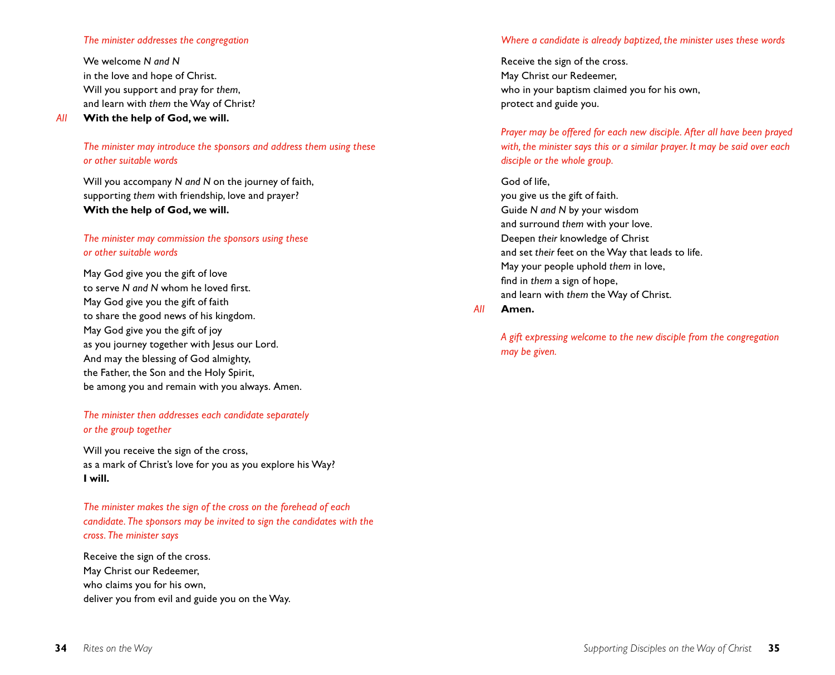#### *The minister addresses the congregation*

We welcome *N and N* in the love and hope of Christ. Will you support and pray for *them*, and learn with *them* the Way of Christ?

### *All* **With the help of God, we will.**

### *The minister may introduce the sponsors and address them using these or other suitable words*

Will you accompany *N and N* on the journey of faith, supporting *them* with friendship, love and prayer? **With the help of God, we will.**

### *The minister may commission the sponsors using these or other suitable words*

May God give you the gift of love to serve *N and N* whom he loved first. May God give you the gift of faith to share the good news of his kingdom. May God give you the gift of joy as you journey together with Jesus our Lord. And may the blessing of God almighty, the Father, the Son and the Holy Spirit, be among you and remain with you always. Amen.

### *The minister then addresses each candidate separately or the group together*

Will you receive the sign of the cross, as a mark of Christ's love for you as you explore his Way? **I will.**

*The minister makes the sign of the cross on the forehead of each candidate. The sponsors may be invited to sign the candidates with the cross. The minister says*

Receive the sign of the cross. May Christ our Redeemer, who claims you for his own, deliver you from evil and guide you on the Way.

#### *Where a candidate is already baptized, the minister uses these words*

Receive the sign of the cross. May Christ our Redeemer, who in your baptism claimed you for his own, protect and guide you.

*Prayer may be offered for each new disciple. After all have been prayed with, the minister says this or a similar prayer. It may be said over each disciple or the whole group.*

God of life, you give us the gift of faith. Guide *N and N* by your wisdom and surround *them* with your love. Deepen *their* knowledge of Christ and set *their* feet on the Way that leads to life. May your people uphold *them* in love, find in *them* a sign of hope, and learn with *them* the Way of Christ.

*All* **Amen.**

*A gift expressing welcome to the new disciple from the congregation may be given.*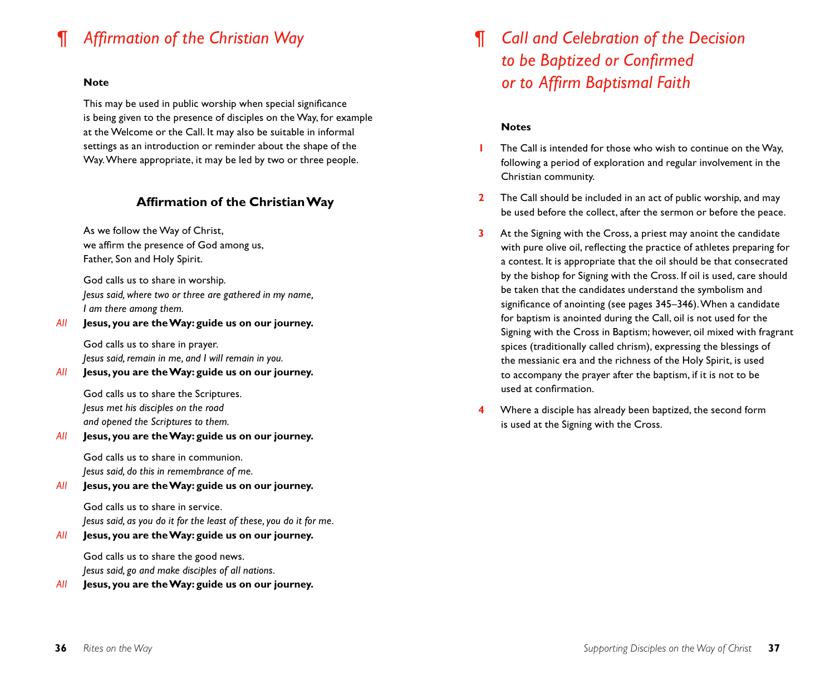# *¶ Affirmation of the Christian Way*

#### **Note**

This may be used in public worship when special significance is being given to the presence of disciples on the Way, for example at the Welcome or the Call. It may also be suitable in informal settings as an introduction or reminder about the shape of the Way.Where appropriate, it may be led by two or three people.

## **Affirmation of the Christian Way**

As we follow the Way of Christ, we affirm the presence of God among us, Father, Son and Holy Spirit.

God calls us to share in worship. *Jesus said, where two or three are gathered in my name, I am there among them.*

### *All* **Jesus, you are the Way: guide us on our journey.**

God calls us to share in prayer. *Jesus said, remain in me, and I will remain in you.*

*All* **Jesus, you are the Way: guide us on our journey.**

God calls us to share the Scriptures. *Jesus met his disciples on the road and opened the Scriptures to them.*

*All* **Jesus, you are the Way: guide us on our journey.**

God calls us to share in communion. *Jesus said, do this in remembrance of me.*

*All* **Jesus, you are the Way: guide us on our journey.**

God calls us to share in service. *Jesus said, as you do it for the least of these, you do it for me.*

*All* **Jesus, you are the Way: guide us on our journey.**

God calls us to share the good news. *Jesus said, go and make disciples of all nations.*

*All* **Jesus, you are the Way: guide us on our journey.**

# *¶ Call and Celebration of the Decision to be Baptized or Confirmed or to Affirm Baptismal Faith*

#### **Notes**

- **1** The Call is intended for those who wish to continue on the Way, following a period of exploration and regular involvement in the Christian community.
- **2** The Call should be included in an act of public worship, and may be used before the collect, after the sermon or before the peace.
- **3** At the Signing with the Cross, a priest may anoint the candidate with pure olive oil, reflecting the practice of athletes preparing for a contest. It is appropriate that the oil should be that consecrated by the bishop for Signing with the Cross. If oil is used, care should be taken that the candidates understand the symbolism and significance of anointing (see pages 345–346).When a candidate for baptism is anointed during the Call, oil is not used for the Signing with the Cross in Baptism; however, oil mixed with fragrant spices (traditionally called chrism), expressing the blessings of the messianic era and the richness of the Holy Spirit, is used to accompany the prayer after the baptism, if it is not to be used at confirmation.
- **4** Where a disciple has already been baptized, the second form is used at the Signing with the Cross.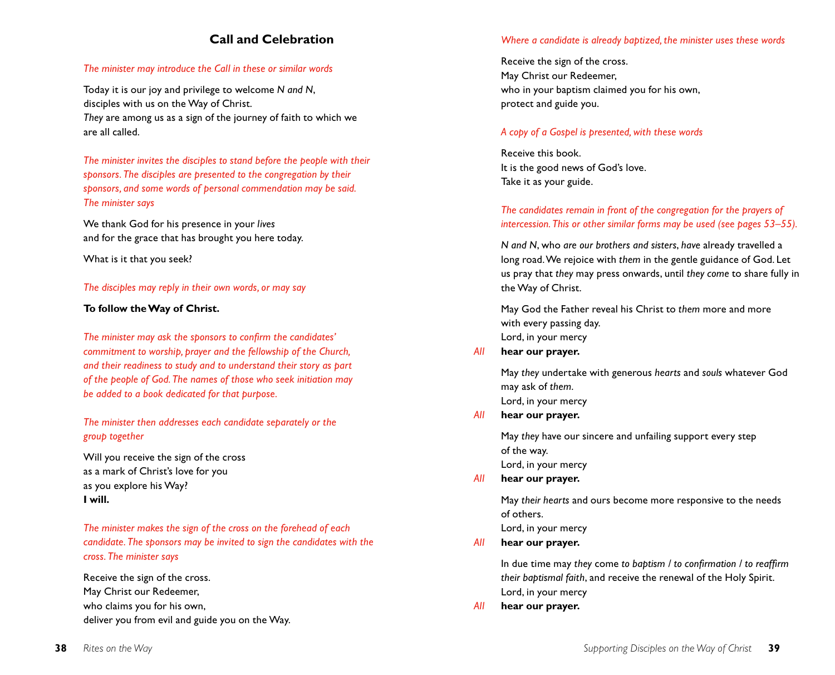# **Call and Celebration**

#### *The minister may introduce the Call in these or similar words*

Today it is our joy and privilege to welcome *N and N*, disciples with us on the Way of Christ. *They* are among us as a sign of the journey of faith to which we are all called.

*The minister invites the disciples to stand before the people with their sponsors. The disciples are presented to the congregation by their sponsors, and some words of personal commendation may be said. The minister says*

We thank God for his presence in your *lives*  and for the grace that has brought you here today.

What is it that you seek?

#### *The disciples may reply in their own words, or may say*

#### **To follow the Way of Christ.**

*The minister may ask the sponsors to confirm the candidates' commitment to worship, prayer and the fellowship of the Church, and their readiness to study and to understand their story as part of the people of God.The names of those who seek initiation may be added to a book dedicated for that purpose.*

*The minister then addresses each candidate separately or the group together*

Will you receive the sign of the cross as a mark of Christ's love for you as you explore his Way? **I will.**

*The minister makes the sign of the cross on the forehead of each candidate. The sponsors may be invited to sign the candidates with the cross. The minister says*

Receive the sign of the cross. May Christ our Redeemer, who claims you for his own, deliver you from evil and guide you on the Way.

#### *Where a candidate is already baptized, the minister uses these words*

Receive the sign of the cross. May Christ our Redeemer, who in your baptism claimed you for his own, protect and guide you.

#### *A copy of a Gospel is presented, with these words*

Receive this book. It is the good news of God's love. Take it as your guide.

### *The candidates remain in front of the congregation for the prayers of intercession. This or other similar forms may be used (see pages 53–55).*

*N and N*, who *are our brothers and sisters*, *have* already travelled a long road.We rejoice with *them* in the gentle guidance of God. Let us pray that *they* may press onwards, until *they come* to share fully in the Way of Christ.

May God the Father reveal his Christ to *them* more and more with every passing day. Lord, in your mercy

#### *All* **hear our prayer.**

May *they* undertake with generous *hearts* and *souls* whatever God may ask of *them*. Lord, in your mercy

*All* **hear our prayer.**

May *they* have our sincere and unfailing support every step of the way. Lord, in your mercy

*All* **hear our prayer.**

May *their hearts* and ours become more responsive to the needs of others. Lord, in your mercy

*All* **hear our prayer.**

In due time may *they* come *to baptism / to confirmation / to reaffirm their baptismal faith*, and receive the renewal of the Holy Spirit. Lord, in your mercy

*All* **hear our prayer.**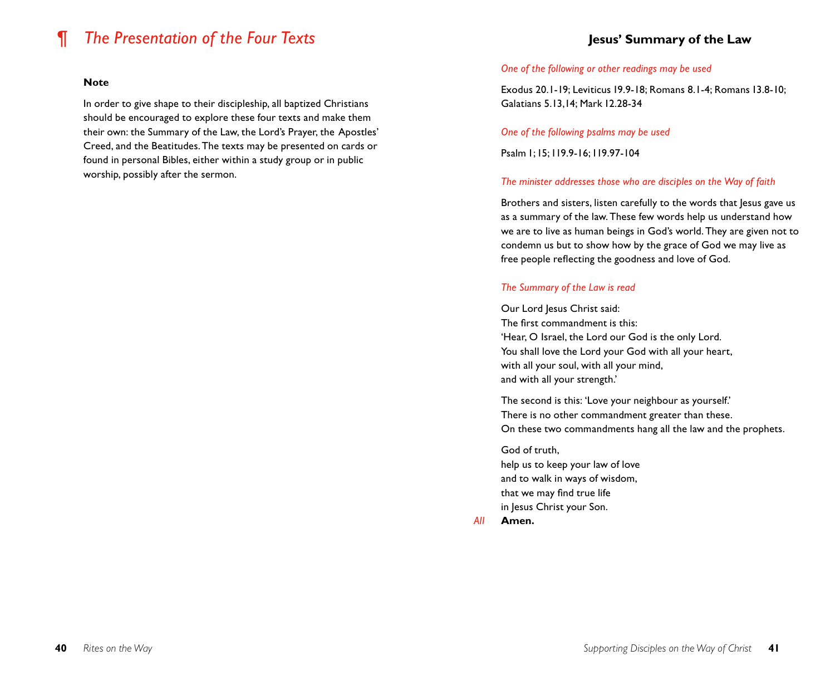# *¶ The Presentation of the Four Texts*

#### **Note**

In order to give shape to their discipleship, all baptized Christians should be encouraged to explore these four texts and make them their own: the Summary of the Law, the Lord's Prayer, the Apostles' Creed, and the Beatitudes. The texts may be presented on cards or found in personal Bibles, either within a study group or in public worship, possibly after the sermon.

# **Jesus' Summary of the Law**

#### *One of the following or other readings may be used*

Exodus 20.1-19; Leviticus 19.9-18; Romans 8.1-4; Romans 13.8-10; Galatians 5.13,14; Mark 12.28-34

#### *One of the following psalms may be used*

Psalm 1;15;119.9-16;119.97-104

#### *The minister addresses those who are disciples on the Way of faith*

Brothers and sisters, listen carefully to the words that lesus gave us as a summary of the law. These few words help us understand how we are to live as human beings in God's world. They are given not to condemn us but to show how by the grace of God we may live as free people reflecting the goodness and love of God.

#### *The Summary of the Law is read*

Our Lord Jesus Christ said: The first commandment is this: 'Hear, O Israel, the Lord our God is the only Lord. You shall love the Lord your God with all your heart, with all your soul, with all your mind, and with all your strength.'

The second is this: 'Love your neighbour as yourself.' There is no other commandment greater than these. On these two commandments hang all the law and the prophets.

#### God of truth,

help us to keep your law of love and to walk in ways of wisdom, that we may find true life in Jesus Christ your Son.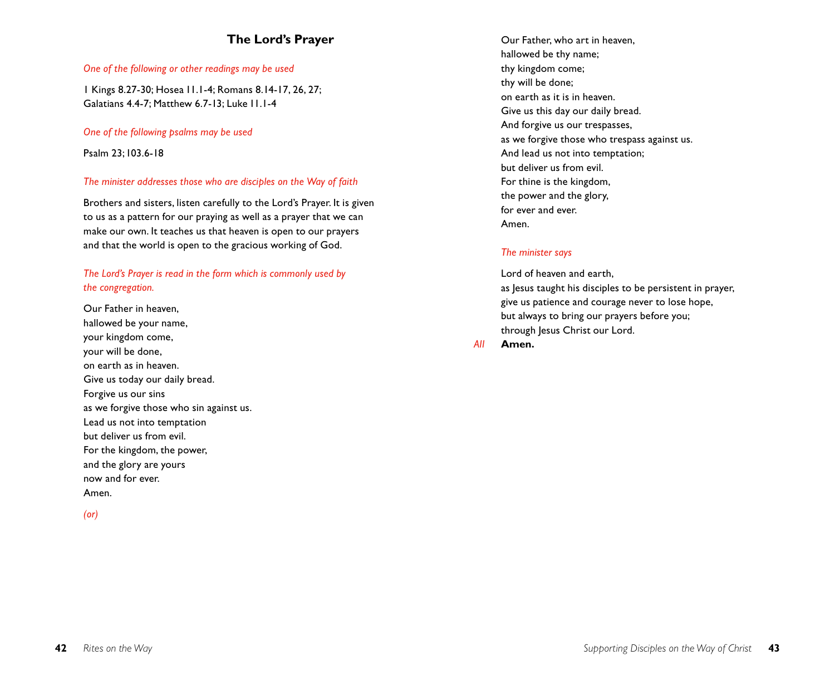# **The Lord's Prayer**

#### *One of the following or other readings may be used*

1 Kings 8.27-30; Hosea 11.1-4; Romans 8.14-17, 26, 27; Galatians 4.4-7; Matthew 6.7-13; Luke 11.1-4

#### *One of the following psalms may be used*

Psalm 23;103.6-18

### *The minister addresses those who are disciples on the Way of faith*

Brothers and sisters, listen carefully to the Lord's Prayer. It is given to us as a pattern for our praying as well as a prayer that we can make our own. It teaches us that heaven is open to our prayers and that the world is open to the gracious working of God.

## *The Lord's Prayer is read in the form which is commonly used by the congregation.*

Our Father in heaven, hallowed be your name, your kingdom come, your will be done, on earth as in heaven. Give us today our daily bread. Forgive us our sins as we forgive those who sin against us. Lead us not into temptation but deliver us from evil. For the kingdom, the power, and the glory are yours now and for ever. Amen.

#### *(or)*

Our Father, who art in heaven, hallowed be thy name; thy kingdom come; thy will be done; on earth as it is in heaven. Give us this day our daily bread. And forgive us our trespasses, as we forgive those who trespass against us. And lead us not into temptation; but deliver us from evil. For thine is the kingdom, the power and the glory, for ever and ever. Amen.

### *The minister says*

Lord of heaven and earth, as Jesus taught his disciples to be persistent in prayer, give us patience and courage never to lose hope, but always to bring our prayers before you; through Jesus Christ our Lord.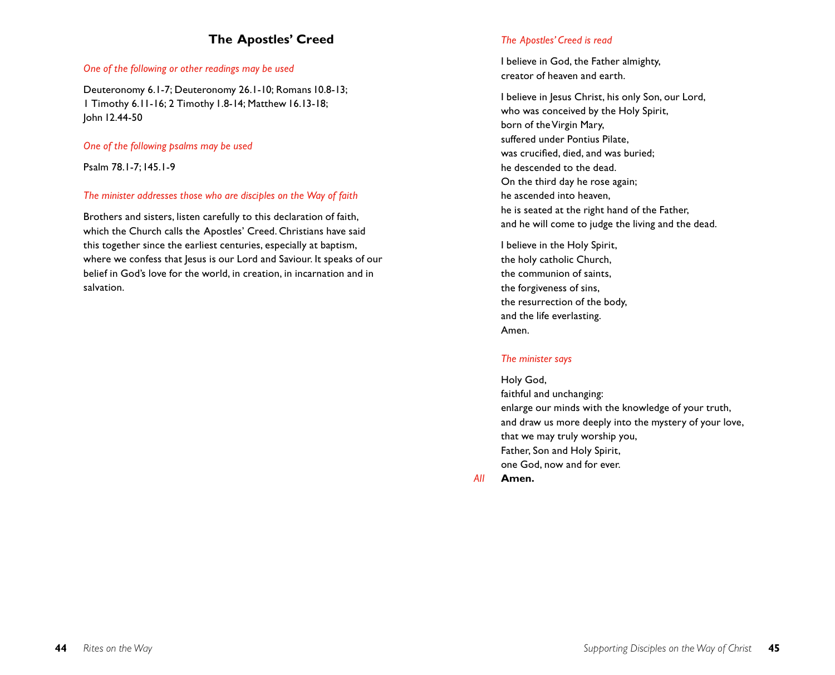# **The Apostles' Creed**

#### *One of the following or other readings may be used*

Deuteronomy 6.1-7; Deuteronomy 26.1-10; Romans 10.8-13; 1 Timothy 6.11-16; 2 Timothy 1.8-14; Matthew 16.13-18; John 12.44-50

#### *One of the following psalms may be used*

Psalm 78.1-7;145.1-9

#### *The minister addresses those who are disciples on the Way of faith*

Brothers and sisters, listen carefully to this declaration of faith, which the Church calls the Apostles' Creed. Christians have said this together since the earliest centuries, especially at baptism, where we confess that Jesus is our Lord and Saviour. It speaks of our belief in God's love for the world, in creation, in incarnation and in salvation.

#### *The Apostles' Creed is read*

I believe in God, the Father almighty, creator of heaven and earth.

I believe in Jesus Christ, his only Son, our Lord, who was conceived by the Holy Spirit, born of the Virgin Mary, suffered under Pontius Pilate, was crucified, died, and was buried; he descended to the dead. On the third day he rose again; he ascended into heaven, he is seated at the right hand of the Father, and he will come to judge the living and the dead.

I believe in the Holy Spirit, the holy catholic Church, the communion of saints, the forgiveness of sins, the resurrection of the body, and the life everlasting. Amen.

#### *The minister says*

Holy God, faithful and unchanging: enlarge our minds with the knowledge of your truth, and draw us more deeply into the mystery of your love, that we may truly worship you, Father, Son and Holy Spirit, one God, now and for ever.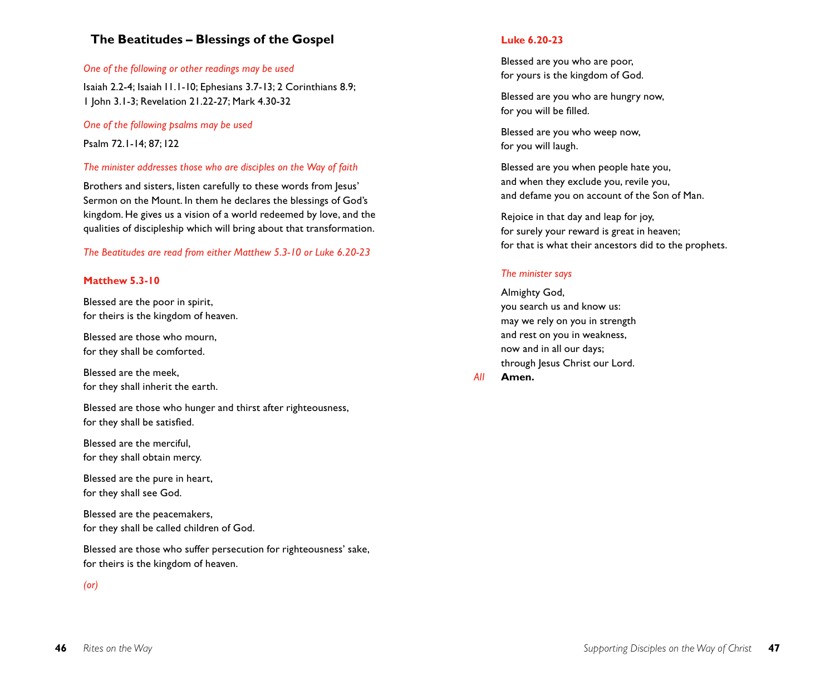# **The Beatitudes – Blessings of the Gospel**

#### *One of the following or other readings may be used*

Isaiah 2.2-4; Isaiah 11.1-10; Ephesians 3.7-13; 2 Corinthians 8.9; 1 John 3.1-3; Revelation 21.22-27; Mark 4.30-32

*One of the following psalms may be used*

Psalm 72.1-14; 87;122

#### *The minister addresses those who are disciples on the Way of faith*

Brothers and sisters, listen carefully to these words from Jesus' Sermon on the Mount. In them he declares the blessings of God's kingdom. He gives us a vision of a world redeemed by love, and the qualities of discipleship which will bring about that transformation.

#### *The Beatitudes are read from either Matthew 5.3-10 or Luke 6.20-23*

#### **Matthew 5.3-10**

Blessed are the poor in spirit, for theirs is the kingdom of heaven.

Blessed are those who mourn, for they shall be comforted.

Blessed are the meek, for they shall inherit the earth.

Blessed are those who hunger and thirst after righteousness, for they shall be satisfied.

Blessed are the merciful, for they shall obtain mercy.

Blessed are the pure in heart, for they shall see God.

Blessed are the peacemakers, for they shall be called children of God.

Blessed are those who suffer persecution for righteousness' sake, for theirs is the kingdom of heaven.

*(or)*

#### **Luke 6.20-23**

Blessed are you who are poor, for yours is the kingdom of God.

Blessed are you who are hungry now, for you will be filled.

Blessed are you who weep now, for you will laugh.

Blessed are you when people hate you, and when they exclude you, revile you, and defame you on account of the Son of Man.

Rejoice in that day and leap for joy, for surely your reward is great in heaven; for that is what their ancestors did to the prophets.

#### *The minister says*

Almighty God, you search us and know us: may we rely on you in strength and rest on you in weakness, now and in all our days; through Jesus Christ our Lord.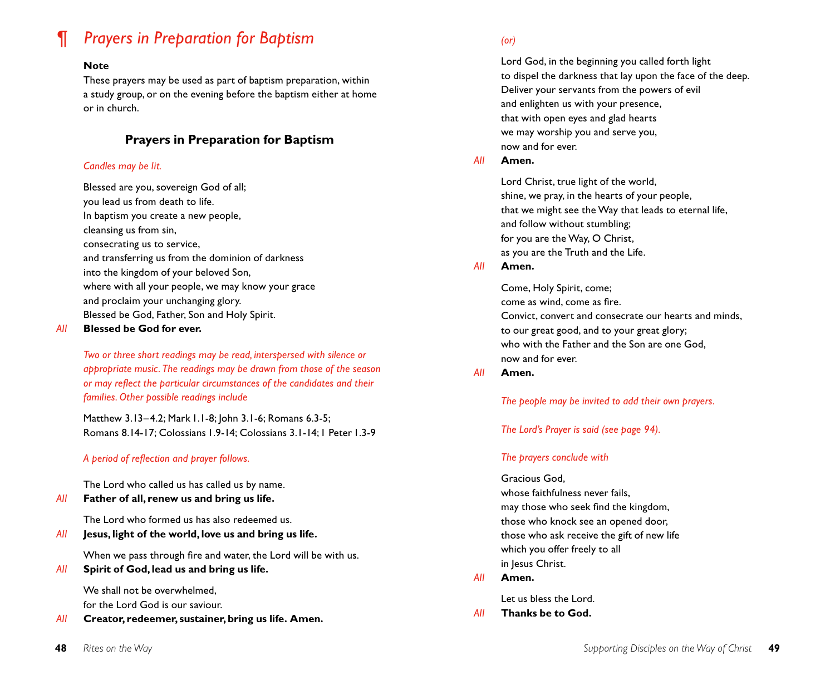# *¶ Prayers in Preparation for Baptism*

#### **Note**

These prayers may be used as part of baptism preparation, within a study group, or on the evening before the baptism either at home or in church.

## **Prayers in Preparation for Baptism**

#### *Candles may be lit.*

Blessed are you, sovereign God of all; you lead us from death to life. In baptism you create a new people, cleansing us from sin, consecrating us to service, and transferring us from the dominion of darkness into the kingdom of your beloved Son, where with all your people, we may know your grace and proclaim your unchanging glory. Blessed be God, Father, Son and Holy Spirit.

#### *All* **Blessed be God for ever.**

*Two or three short readings may be read, interspersed with silence or appropriate music. The readings may be drawn from those of the season or may reflect the particular circumstances of the candidates and their families. Other possible readings include*

Matthew 3.13–4.2; Mark 1.1-8; John 3.1-6; Romans 6.3-5; Romans 8.14-17; Colossians 1.9-14; Colossians 3.1-14;1 Peter 1.3-9

#### *A period of reflection and prayer follows.*

The Lord who called us has called us by name.

#### *All* **Father of all, renew us and bring us life.**

The Lord who formed us has also redeemed us.

*All* **Jesus, light of the world, love us and bring us life.**

When we pass through fire and water, the Lord will be with us.

*All* **Spirit of God, lead us and bring us life.**

We shall not be overwhelmed, for the Lord God is our saviour.

*All* **Creator, redeemer, sustainer, bring us life. Amen.**

### *(or)*

Lord God, in the beginning you called forth light to dispel the darkness that lay upon the face of the deep. Deliver your servants from the powers of evil and enlighten us with your presence, that with open eyes and glad hearts we may worship you and serve you, now and for ever.

*All* **Amen.**

Lord Christ, true light of the world, shine, we pray, in the hearts of your people, that we might see the Way that leads to eternal life, and follow without stumbling; for you are the Way, O Christ, as you are the Truth and the Life.

*All* **Amen.**

Come, Holy Spirit, come; come as wind, come as fire. Convict, convert and consecrate our hearts and minds, to our great good, and to your great glory; who with the Father and the Son are one God, now and for ever.

*All* **Amen.**

*The people may be invited to add their own prayers.*

*The Lord's Prayer is said (see page 94).*

### *The prayers conclude with*

#### Gracious God,

whose faithfulness never fails, may those who seek find the kingdom, those who knock see an opened door, those who ask receive the gift of new life which you offer freely to all in Jesus Christ.

*All* **Amen.**

Let us bless the Lord.

*All* **Thanks be to God.**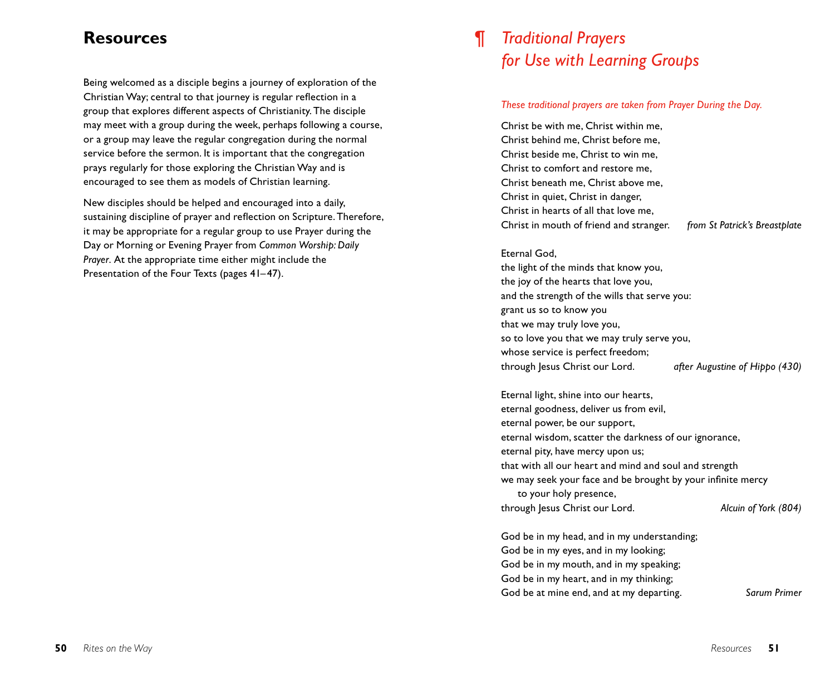# **Resources**

Being welcomed as a disciple begins a journey of exploration of the Christian Way; central to that journey is regular reflection in a group that explores different aspects of Christianity. The disciple may meet with a group during the week, perhaps following a course, or a group may leave the regular congregation during the normal service before the sermon. It is important that the congregation prays regularly for those exploring the Christian Way and is encouraged to see them as models of Christian learning.

New disciples should be helped and encouraged into a daily, sustaining discipline of prayer and reflection on Scripture. Therefore, it may be appropriate for a regular group to use Prayer during the Day or Morning or Evening Prayer from *Common Worship: Daily Prayer*. At the appropriate time either might include the Presentation of the Four Texts (pages 41–47).

# *¶ Traditional Prayers for Use with Learning Groups*

#### *These traditional prayers are taken from Prayer During the Day.*

Christ be with me, Christ within me, Christ behind me, Christ before me, Christ beside me, Christ to win me, Christ to comfort and restore me, Christ beneath me, Christ above me, Christ in quiet, Christ in danger, Christ in hearts of all that love me, Christ in mouth of friend and stranger. *from St Patrick's Breastplate*

#### Eternal God,

the light of the minds that know you, the joy of the hearts that love you, and the strength of the wills that serve you: grant us so to know you that we may truly love you, so to love you that we may truly serve you, whose service is perfect freedom; through Jesus Christ our Lord. *after Augustine of Hippo (430)*

Eternal light, shine into our hearts, eternal goodness, deliver us from evil, eternal power, be our support, eternal wisdom, scatter the darkness of our ignorance, eternal pity, have mercy upon us; that with all our heart and mind and soul and strength we may seek your face and be brought by your infinite mercy to your holy presence, through Jesus Christ our Lord. *Alcuin of York (804)*

God be in my head, and in my understanding; God be in my eyes, and in my looking; God be in my mouth, and in my speaking; God be in my heart, and in my thinking; God be at mine end, and at my departing. *Sarum Primer*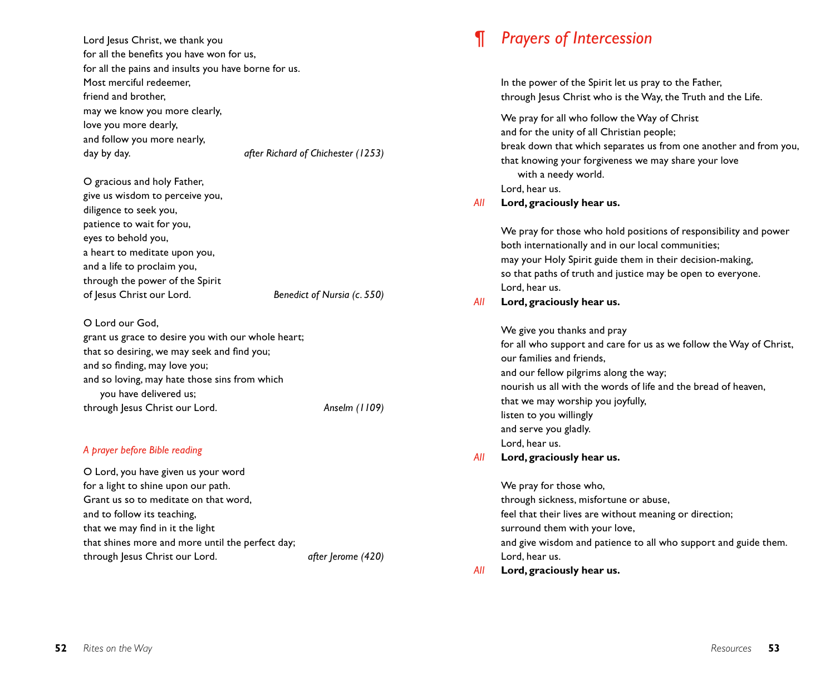Lord Jesus Christ, we thank you for all the benefits you have won for us, for all the pains and insults you have borne for us. Most merciful redeemer, friend and brother may we know you more clearly, love you more dearly, and follow you more nearly, day by day. *after Richard of Chichester (1253)*

O gracious and holy Father, give us wisdom to perceive you, diligence to seek you, patience to wait for you, eyes to behold you, a heart to meditate upon you, and a life to proclaim you, through the power of the Spirit of Jesus Christ our Lord. *Benedict of Nursia (c. 550)*

### O Lord our God,

| grant us grace to desire you with our whole heart; |               |
|----------------------------------------------------|---------------|
| that so desiring, we may seek and find you;        |               |
| and so finding, may love you;                      |               |
| and so loving, may hate those sins from which      |               |
| you have delivered us;                             |               |
| through Jesus Christ our Lord.                     | Anselm (1109) |

#### *A prayer before Bible reading*

O Lord, you have given us your word for a light to shine upon our path. Grant us so to meditate on that word, and to follow its teaching, that we may find in it the light that shines more and more until the perfect day; through Jesus Christ our Lord. *after Jerome (420)*

# *¶ Prayers of Intercession*

In the power of the Spirit let us pray to the Father, through Jesus Christ who is the Way, the Truth and the Life.

We pray for all who follow the Way of Christ and for the unity of all Christian people; break down that which separates us from one another and from you, that knowing your forgiveness we may share your love with a needy world. Lord, hear us.

#### *All* **Lord, graciously hear us.**

We pray for those who hold positions of responsibility and power both internationally and in our local communities; may your Holy Spirit guide them in their decision-making, so that paths of truth and justice may be open to everyone. Lord, hear us.

### *All* **Lord, graciously hear us.**

We give you thanks and pray for all who support and care for us as we follow the Way of Christ, our families and friends, and our fellow pilgrims along the way; nourish us all with the words of life and the bread of heaven, that we may worship you joyfully, listen to you willingly and serve you gladly. Lord, hear us.

#### *All* **Lord, graciously hear us.**

We pray for those who, through sickness, misfortune or abuse, feel that their lives are without meaning or direction; surround them with your love, and give wisdom and patience to all who support and guide them. Lord, hear us.

*All* **Lord, graciously hear us.**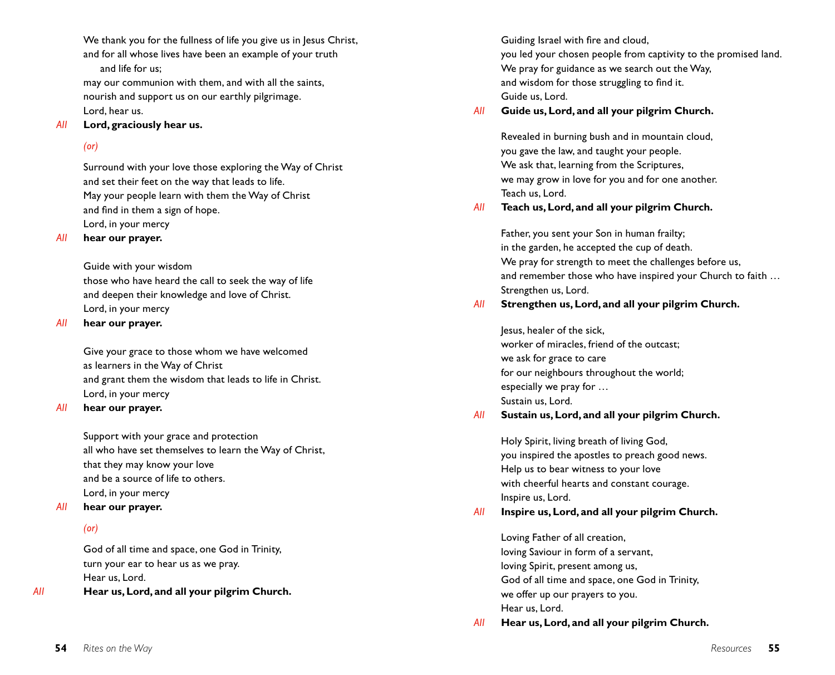We thank you for the fullness of life you give us in lesus Christ, and for all whose lives have been an example of your truth and life for us;

may our communion with them, and with all the saints, nourish and support us on our earthly pilgrimage. Lord, hear us.

*All* **Lord, graciously hear us.**

*(or)*

Surround with your love those exploring the Way of Christ and set their feet on the way that leads to life.

May your people learn with them the Way of Christ and find in them a sign of hope.

Lord, in your mercy

*All* **hear our prayer.**

Guide with your wisdom

those who have heard the call to seek the way of life

and deepen their knowledge and love of Christ. Lord, in your mercy

*Al l* **hear our prayer.**

> Give your grace to those whom we have welcomed as learners i n the Way of Christ and grant them the wisdom that leads to life in Christ. Lord, in your mercy

*Al l* **hear our prayer.**

> Support with your grace and protection all who h ave set themselves to learn the Way of Christ, that they may know your love and be a source of life to others. Lord, in your mercy

*All* **hear our prayer.**

# *(or)*

*Al*

God of all time and space, one God in Trinity, turn your ear to hear us as we pray. Hear us, Lord. *l* **Hear us,Lord, and all your pilgrim Church.** Guiding Israel with fire and cloud, you led your chosen people from captivity to the promised land. We pray for guidance as we search out the Way, and wisdom for those struggling to find it. Guide us, Lord.

*All* **Guide us, Lord, and all your pilgrim Church.**

Revealed in burning bush and in mountain cloud, you gave the law, and taught your people. We ask that, learning from the Scriptures, we may grow in love for you and for one another. Teach us, Lord.

# *All* **Teach us, Lord, and all your pilgrim Church.**

Father, you sent your Son in human frailty; in the garden, he accepted the cup of death. We pray for strength to meet the challenges before us, and remember those who have inspired your Church to faith … Strengthen us, Lord.

## *All* **Strengthen us, Lord, and all your pilgrim Church.**

Jesus, healer of the sick, worker of miracles, friend of the outcast; we ask for grace to care for our neighbours throughout the world; especiall y w e pra y for … Sustain us, Lord.

# *All* **Sustain us, Lord, and all your pilgrim Church.**

Hol y Spiri t , living br eat h of living God, you inspired the apostles to preach good news. Help us to bear witness to your love wi t h cheerful hear t s and constant courage. Inspir e us, Lord.

*All* **Inspire us, Lord, and all your pilgrim Church.**

Loving Father of all creation, loving Saviour in form of a servant, loving Spirit, present among us, God of all time and space, one God in Trinity, we offer up our prayers to you. Hear us, Lord.

*Al l* **Hear us,Lord, and all your pilgrim Church.**